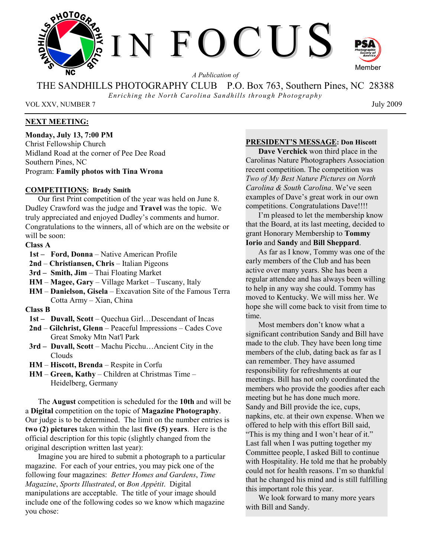

*A Publication of* 

THE SANDHILLS PHOTOGRAPHY CLUB P.O. Box 763, Southern Pines, NC 28388

*Enriching the North Carolina Sandhills through Photography* 

VOL XXV, NUMBER 7 July 2009

# **NEXT MEETING:**

**Monday, July 13, 7:00 PM**  Christ Fellowship Church Midland Road at the corner of Pee Dee Road Southern Pines, NC Program: **Family photos with Tina Wrona** 

## **COMPETITIONS: Brady Smith**

Our first Print competition of the year was held on June 8. Dudley Crawford was the judge and **Travel** was the topic. We truly appreciated and enjoyed Dudley's comments and humor. Congratulations to the winners, all of which are on the website or will be soon:

# **Class A**

- **1st – Ford, Donna** Native American Profile
- **2nd Christiansen, Chris** Italian Pigeons
- **3rd – Smith, Jim** Thai Floating Market
- **HM Magee, Gary** Village Market Tuscany, Italy
- **HM Danielson, Gisela** Excavation Site of the Famous Terra Cotta Army – Xian, China

#### **Class B**

- **1st – Duvall, Scott** Quechua Girl…Descendant of Incas
- **2nd Gilchrist, Glenn** Peaceful Impressions Cades Cove Great Smoky Mtn Nat'l Park
- **3rd – Duvall, Scott** Machu Picchu…Ancient City in the Clouds
- **HM Hiscott, Brenda** Respite in Corfu
- **HM Green, Kathy** Children at Christmas Time Heidelberg, Germany

The **August** competition is scheduled for the **10th** and will be a **Digital** competition on the topic of **Magazine Photography**. Our judge is to be determined. The limit on the number entries is **two (2) pictures** taken within the last **five (5) years**. Here is the official description for this topic (slightly changed from the original description written last year):

Imagine you are hired to submit a photograph to a particular magazine. For each of your entries, you may pick one of the following four magazines: *Better Homes and Gardens*, *Time Magazine*, *Sports Illustrated*, or *Bon Appétit*. Digital manipulations are acceptable. The title of your image should include one of the following codes so we know which magazine you chose:

## **PRESIDENT'S MESSAGE: Don Hiscott**

**Dave Verchick** won third place in the Carolinas Nature Photographers Association recent competition. The competition was *Two of My Best Nature Pictures on North Carolina & South Carolina*. We've seen examples of Dave's great work in our own competitions. Congratulations Dave!!!!

I'm pleased to let the membership know that the Board, at its last meeting, decided to grant Honorary Membership to **Tommy Iorio** and **Sandy** and **Bill Sheppard**.

As far as I know, Tommy was one of the early members of the Club and has been active over many years. She has been a regular attendee and has always been willing to help in any way she could. Tommy has moved to Kentucky. We will miss her. We hope she will come back to visit from time to time.

Most members don't know what a significant contribution Sandy and Bill have made to the club. They have been long time members of the club, dating back as far as I can remember. They have assumed responsibility for refreshments at our meetings. Bill has not only coordinated the members who provide the goodies after each meeting but he has done much more. Sandy and Bill provide the ice, cups, napkins, etc. at their own expense. When we offered to help with this effort Bill said, "This is my thing and I won't hear of it." Last fall when I was putting together my Committee people, I asked Bill to continue with Hospitality. He told me that he probably could not for health reasons. I'm so thankful that he changed his mind and is still fulfilling this important role this year.

We look forward to many more years with Bill and Sandy.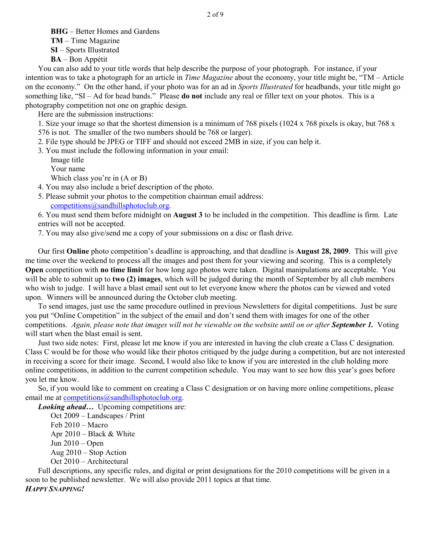**BHG** – Better Homes and Gardens **TM** – Time Magazine

**SI** – Sports Illustrated

**BA** – Bon Appétit

You can also add to your title words that help describe the purpose of your photograph. For instance, if your intention was to take a photograph for an article in *Time Magazine* about the economy, your title might be, "TM – Article on the economy." On the other hand, if your photo was for an ad in *Sports Illustrated* for headbands, your title might go something like, "SI – Ad for head bands." Please **do not** include any real or filler text on your photos. This is a photography competition not one on graphic design.

Here are the submission instructions:

1. Size your image so that the shortest dimension is a minimum of 768 pixels (1024 x 768 pixels is okay, but 768 x 576 is not. The smaller of the two numbers should be 768 or larger).

2. File type should be JPEG or TIFF and should not exceed 2MB in size, if you can help it.

3. You must include the following information in your email:

Image title

Your name

Which class you're in (A or B)

4. You may also include a brief description of the photo.

5. Please submit your photos to the competition chairman email address:

competitions@sandhillsphotoclub.org.

6. You must send them before midnight on **August 3** to be included in the competition. This deadline is firm. Late entries will not be accepted.

7. You may also give/send me a copy of your submissions on a disc or flash drive.

Our first **Online** photo competition's deadline is approaching, and that deadline is **August 28, 2009**. This will give me time over the weekend to process all the images and post them for your viewing and scoring. This is a completely **Open** competition with **no time limit** for how long ago photos were taken. Digital manipulations are acceptable. You will be able to submit up to **two (2) images**, which will be judged during the month of September by all club members who wish to judge. I will have a blast email sent out to let everyone know where the photos can be viewed and voted upon. Winners will be announced during the October club meeting.

To send images, just use the same procedure outlined in previous Newsletters for digital competitions. Just be sure you put "Online Competition" in the subject of the email and don't send them with images for one of the other competitions. *Again, please note that images will not be viewable on the website until on or after September 1. Voting* will start when the blast email is sent.

Just two side notes: First, please let me know if you are interested in having the club create a Class C designation. Class C would be for those who would like their photos critiqued by the judge during a competition, but are not interested in receiving a score for their image. Second, I would also like to know if you are interested in the club holding more online competitions, in addition to the current competition schedule. You may want to see how this year's goes before you let me know.

So, if you would like to comment on creating a Class C designation or on having more online competitions, please email me at competitions@sandhillsphotoclub.org.

*Looking ahead...* Upcoming competitions are:

Oct 2009 – Landscapes / Print Feb 2010 – Macro Apr  $2010$  – Black & White Jun 2010 – Open Aug 2010 – Stop Action Oct 2010 – Architectural

Full descriptions, any specific rules, and digital or print designations for the 2010 competitions will be given in a soon to be published newsletter. We will also provide 2011 topics at that time. *HAPPY SNAPPING!*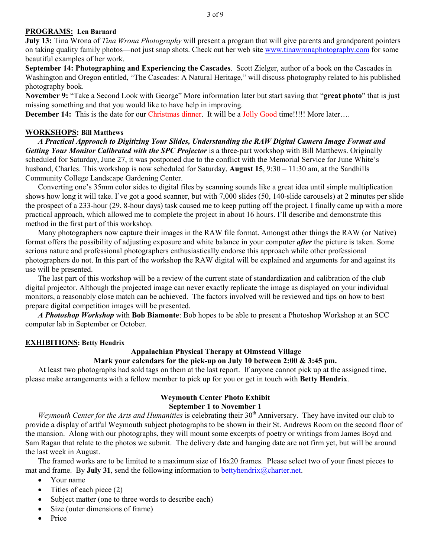## **PROGRAMS: Len Barnard**

**July 13:** Tina Wrona of *Tina Wrona Photography* will present a program that will give parents and grandparent pointers on taking quality family photos—not just snap shots. Check out her web site www.tinawronaphotography.com for some beautiful examples of her work.

**September 14: Photographing and Experiencing the Cascades**. Scott Zielger, author of a book on the Cascades in Washington and Oregon entitled, "The Cascades: A Natural Heritage," will discuss photography related to his published photography book.

**November 9:** "Take a Second Look with George" More information later but start saving that "**great photo**" that is just missing something and that you would like to have help in improving.

**December 14:** This is the date for our Christmas dinner. It will be a Jolly Good time!!!!! More later....

## **WORKSHOPS: Bill Matthews**

 *A Practical Approach to Digitizing Your Slides, Understanding the RAW Digital Camera Image Format and*  Getting Your Monitor Calibrated with the SPC Projector is a three-part workshop with Bill Matthews. Originally scheduled for Saturday, June 27, it was postponed due to the conflict with the Memorial Service for June White's husband, Charles. This workshop is now scheduled for Saturday, **August 15**, 9:30 – 11:30 am, at the Sandhills Community College Landscape Gardening Center.

 Converting one's 35mm color sides to digital files by scanning sounds like a great idea until simple multiplication shows how long it will take. I've got a good scanner, but with 7,000 slides (50, 140-slide carousels) at 2 minutes per slide the prospect of a 233-hour (29, 8-hour days) task caused me to keep putting off the project. I finally came up with a more practical approach, which allowed me to complete the project in about 16 hours. I'll describe and demonstrate this method in the first part of this workshop.

 Many photographers now capture their images in the RAW file format. Amongst other things the RAW (or Native) format offers the possibility of adjusting exposure and white balance in your computer *after* the picture is taken. Some serious nature and professional photographers enthusiastically endorse this approach while other professional photographers do not. In this part of the workshop the RAW digital will be explained and arguments for and against its use will be presented.

 The last part of this workshop will be a review of the current state of standardization and calibration of the club digital projector. Although the projected image can never exactly replicate the image as displayed on your individual monitors, a reasonably close match can be achieved. The factors involved will be reviewed and tips on how to best prepare digital competition images will be presented.

 *A Photoshop Workshop* with **Bob Biamonte**: Bob hopes to be able to present a Photoshop Workshop at an SCC computer lab in September or October.

#### **EXHIBITIONS: Betty Hendrix**

# **Appalachian Physical Therapy at Olmstead Village**

# **Mark your calendars for the pick-up on July 10 between 2:00 & 3:45 pm.**

At least two photographs had sold tags on them at the last report. If anyone cannot pick up at the assigned time, please make arrangements with a fellow member to pick up for you or get in touch with **Betty Hendrix**.

## **Weymouth Center Photo Exhibit**

#### **September 1 to November 1**

*Weymouth Center for the Arts and Humanities* is celebrating their 30<sup>th</sup> Anniversary. They have invited our club to provide a display of artful Weymouth subject photographs to be shown in their St. Andrews Room on the second floor of the mansion. Along with our photographs, they will mount some excerpts of poetry or writings from James Boyd and Sam Ragan that relate to the photos we submit. The delivery date and hanging date are not firm yet, but will be around the last week in August.

The framed works are to be limited to a maximum size of 16x20 frames. Please select two of your finest pieces to mat and frame. By **July 31**, send the following information to bettyhendrix@charter.net.

- Your name
- Titles of each piece (2)
- Subject matter (one to three words to describe each)
- Size (outer dimensions of frame)
- Price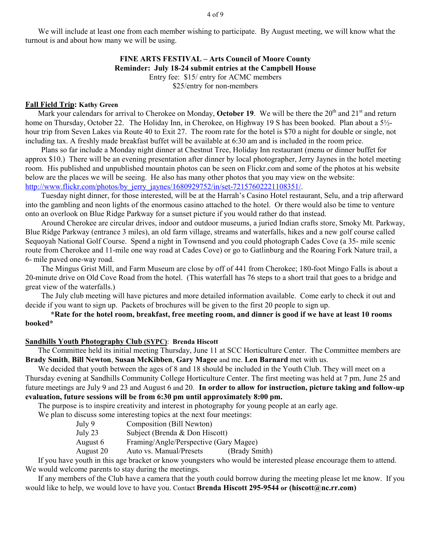We will include at least one from each member wishing to participate. By August meeting, we will know what the turnout is and about how many we will be using.

## **FINE ARTS FESTIVAL – Arts Council of Moore County Reminder: July 18-24 submit entries at the Campbell House**  Entry fee: \$15/ entry for ACMC members \$25/entry for non-members

## **Fall Field Trip: Kathy Green**

Mark your calendars for arrival to Cherokee on Monday, October 19. We will be there the 20<sup>th</sup> and 21<sup>st</sup> and return home on Thursday, October 22. The Holiday Inn, in Cherokee, on Highway 19 S has been booked. Plan about a 5<sup>1</sup>/<sub>2</sub>hour trip from Seven Lakes via Route 40 to Exit 27. The room rate for the hotel is \$70 a night for double or single, not including tax. A freshly made breakfast buffet will be available at 6:30 am and is included in the room price.

Plans so far include a Monday night dinner at Chestnut Tree, Holiday Inn restaurant (menu or dinner buffet for approx \$10.) There will be an evening presentation after dinner by local photographer, Jerry Jaynes in the hotel meeting room. His published and unpublished mountain photos can be seen on Flickr.com and some of the photos at his website below are the places we will be seeing. He also has many other photos that you may view on the website: http://www.flickr.com/photos/by\_jerry\_jaynes/1680929752/in/set-72157602221108351/.

Tuesday night dinner, for those interested, will be at the Harrah's Casino Hotel restaurant, Selu, and a trip afterward into the gambling and neon lights of the enormous casino attached to the hotel. Or there would also be time to venture onto an overlook on Blue Ridge Parkway for a sunset picture if you would rather do that instead.

Around Cherokee are circular drives, indoor and outdoor museums, a juried Indian crafts store, Smoky Mt. Parkway, Blue Ridge Parkway (entrance 3 miles), an old farm village, streams and waterfalls, hikes and a new golf course called Sequoyah National Golf Course. Spend a night in Townsend and you could photograph Cades Cove (a 35- mile scenic route from Cherokee and 11-mile one way road at Cades Cove) or go to Gatlinburg and the Roaring Fork Nature trail, a 6- mile paved one-way road.

The Mingus Grist Mill, and Farm Museum are close by off of 441 from Cherokee; 180-foot Mingo Falls is about a 20-minute drive on Old Cove Road from the hotel. (This waterfall has 76 steps to a short trail that goes to a bridge and great view of the waterfalls.)

The July club meeting will have pictures and more detailed information available. Come early to check it out and decide if you want to sign up. Packets of brochures will be given to the first 20 people to sign up.

 **\*Rate for the hotel room, breakfast, free meeting room, and dinner is good if we have at least 10 rooms booked\*** 

#### **Sandhills Youth Photography Club (SYPC)**: **Brenda Hiscott**

The Committee held its initial meeting Thursday, June 11 at SCC Horticulture Center. The Committee members are **Brady Smith**, **Bill Newton**, **Susan McKibben**, **Gary Magee** and me. **Len Barnard** met with us.

We decided that youth between the ages of 8 and 18 should be included in the Youth Club. They will meet on a Thursday evening at Sandhills Community College Horticulture Center. The first meeting was held at 7 pm, June 25 and future meetings are July 9 and 23 and August 6 and 20. **In order to allow for instruction, picture taking and follow-up evaluation, future sessions will be from 6:30 pm until approximately 8:00 pm.** 

The purpose is to inspire creativity and interest in photography for young people at an early age.

We plan to discuss some interesting topics at the next four meetings:

- July 9 Composition (Bill Newton)
- July 23 Subject (Brenda & Don Hiscott)
- August 6 Framing/Angle/Perspective (Gary Magee)

August 20 Auto vs. Manual/Presets (Brady Smith)

If you have youth in this age bracket or know youngsters who would be interested please encourage them to attend. We would welcome parents to stay during the meetings.

If any members of the Club have a camera that the youth could borrow during the meeting please let me know. If you would like to help, we would love to have you. Contact **Brenda Hiscott 295-9544 or (hiscott@nc.rr.com)**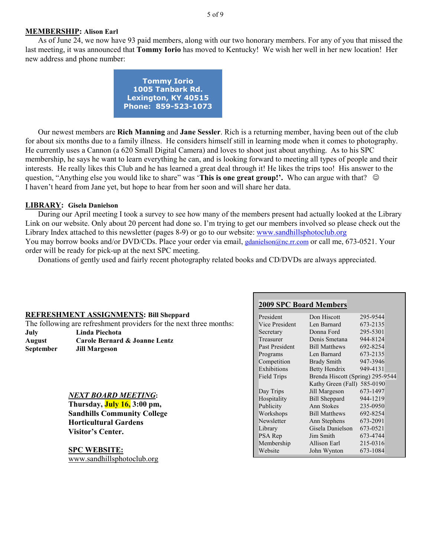#### **MEMBERSHIP: Alison Earl**

As of June 24, we now have 93 paid members, along with our two honorary members. For any of you that missed the last meeting, it was announced that **Tommy Iorio** has moved to Kentucky! We wish her well in her new location! Her new address and phone number:

| <b>Tommy Iorio</b>  |
|---------------------|
| 1005 Tanbark Rd.    |
| Lexington, KY 40515 |
| Phone: 859-523-1073 |

Our newest members are **Rich Manning** and **Jane Sessler**. Rich is a returning member, having been out of the club for about six months due to a family illness. He considers himself still in learning mode when it comes to photography. He currently uses a Cannon (a 620 Small Digital Camera) and loves to shoot just about anything. As to his SPC membership, he says he want to learn everything he can, and is looking forward to meeting all types of people and their interests. He really likes this Club and he has learned a great deal through it! He likes the trips too! His answer to the question, "Anything else you would like to share" was '**This is one great group!'.** Who can argue with that?  $\odot$ I haven't heard from Jane yet, but hope to hear from her soon and will share her data.

#### **LIBRARY: Gisela Danielson**

 During our April meeting I took a survey to see how many of the members present had actually looked at the Library Link on our website. Only about 20 percent had done so. I'm trying to get our members involved so please check out the Library Index attached to this newsletter (pages 8-9) or go to our website: www.sandhillsphotoclub.org You may borrow books and/or DVD/CDs. Place your order via email, gdanielson@nc.rr.com or call me, 673-0521. Your order will be ready for pick-up at the next SPC meeting.

Donations of gently used and fairly recent photography related books and CD/DVDs are always appreciated.

#### **REFRESHMENT ASSIGNMENTS: Bill Sheppard**

The following are refreshment providers for the next three months: **July Linda Piechota** 

**August Carole Bernard & Joanne Lentz September Jill Margeson** 

#### *NEXT BOARD MEETING***:**

**Thursday, July 16, 3:00 pm, Sandhills Community College Horticultural Gardens Visitor's Center.** 

**SPC WEBSITE:** www.sandhillsphotoclub.org

#### **2009 SPC Board Members**

| President          | Don Hiscott                      | 295-9544 |
|--------------------|----------------------------------|----------|
| Vice President     | Len Barnard                      | 673-2135 |
| Secretary          | Donna Ford                       | 295-5301 |
| Treasurer          | Denis Smetana                    | 944-8124 |
| Past President     | <b>Bill Matthews</b>             | 692-8254 |
| Programs           | Len Barnard                      | 673-2135 |
| Competition        | <b>Brady Smith</b>               | 947-3946 |
| Exhibitions        | Betty Hendrix                    | 949-4131 |
| <b>Field Trips</b> | Brenda Hiscott (Spring) 295-9544 |          |
|                    | Kathy Green (Fall)               | 585-0190 |
| Day Trips          | Jill Margeson                    | 673-1497 |
| Hospitality        | <b>Bill Sheppard</b>             | 944-1219 |
| Publicity          | Ann Stokes                       | 235-0950 |
| Workshops          | <b>Bill Matthews</b>             | 692-8254 |
| Newsletter         | Ann Stephens                     | 673-2091 |
| Library            | Gisela Danielson                 | 673-0521 |
| PSA Rep            | Jim Smith                        | 673-4744 |
| Membership         | Allison Earl                     | 215-0316 |
| Website            | John Wynton                      | 673-1084 |
|                    |                                  |          |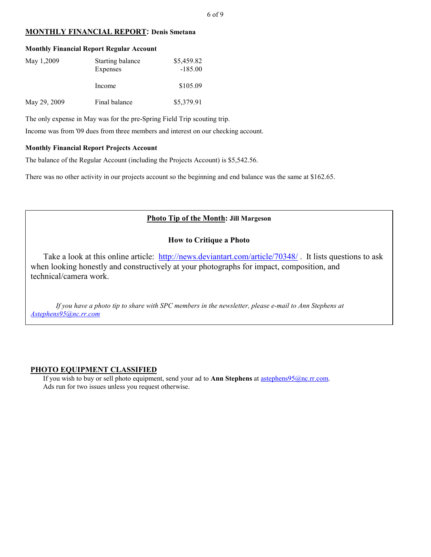## **MONTHLY FINANCIAL REPORT: Denis Smetana**

| <b>Monthly Financial Report Regular Account</b> |                              |                         |  |  |  |
|-------------------------------------------------|------------------------------|-------------------------|--|--|--|
| May 1,2009                                      | Starting balance<br>Expenses | \$5,459.82<br>$-185.00$ |  |  |  |
|                                                 | Income                       | \$105.09                |  |  |  |
| May 29, 2009                                    | Final balance                | \$5,379.91              |  |  |  |

The only expense in May was for the pre-Spring Field Trip scouting trip.

Income was from '09 dues from three members and interest on our checking account.

#### **Monthly Financial Report Projects Account**

The balance of the Regular Account (including the Projects Account) is \$5,542.56.

There was no other activity in our projects account so the beginning and end balance was the same at \$162.65.

# **Photo Tip of the Month: Jill Margeson**

## **How to Critique a Photo**

Take a look at this online article: http://news.deviantart.com/article/70348/. It lists questions to ask when looking honestly and constructively at your photographs for impact, composition, and technical/camera work.

*If you have a photo tip to share with SPC members in the newsletter, please e-mail to Ann Stephens at Astephens95@nc.rr.com*

#### **PHOTO EQUIPMENT CLASSIFIED**

If you wish to buy or sell photo equipment, send your ad to **Ann Stephens** at astephens95@nc.rr.com. Ads run for two issues unless you request otherwise.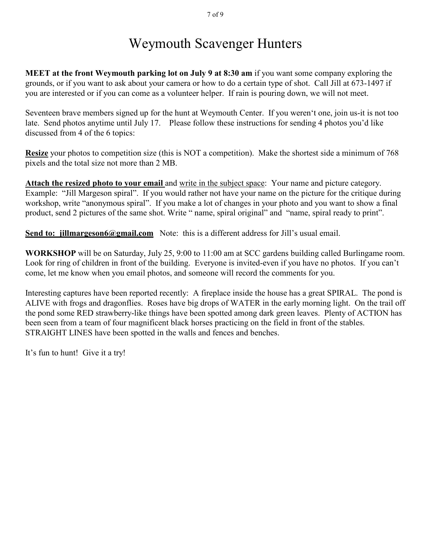# Weymouth Scavenger Hunters

**MEET at the front Weymouth parking lot on July 9 at 8:30 am** if you want some company exploring the grounds, or if you want to ask about your camera or how to do a certain type of shot. Call Jill at 673-1497 if you are interested or if you can come as a volunteer helper. If rain is pouring down, we will not meet.

Seventeen brave members signed up for the hunt at Weymouth Center. If you weren't one, join us-it is not too late. Send photos anytime until July 17. Please follow these instructions for sending 4 photos you'd like discussed from 4 of the 6 topics:

**Resize** your photos to competition size (this is NOT a competition). Make the shortest side a minimum of 768 pixels and the total size not more than 2 MB.

**Attach the resized photo to your email** and write in the subject space: Your name and picture category. Example: "Jill Margeson spiral". If you would rather not have your name on the picture for the critique during workshop, write "anonymous spiral". If you make a lot of changes in your photo and you want to show a final product, send 2 pictures of the same shot. Write " name, spiral original" and "name, spiral ready to print".

**Send to: jillmargeson6@gmail.com** Note: this is a different address for Jill's usual email.

**WORKSHOP** will be on Saturday, July 25, 9:00 to 11:00 am at SCC gardens building called Burlingame room. Look for ring of children in front of the building. Everyone is invited-even if you have no photos. If you can't come, let me know when you email photos, and someone will record the comments for you.

Interesting captures have been reported recently: A fireplace inside the house has a great SPIRAL. The pond is ALIVE with frogs and dragonflies. Roses have big drops of WATER in the early morning light. On the trail off the pond some RED strawberry-like things have been spotted among dark green leaves. Plenty of ACTION has been seen from a team of four magnificent black horses practicing on the field in front of the stables. STRAIGHT LINES have been spotted in the walls and fences and benches.

It's fun to hunt! Give it a try!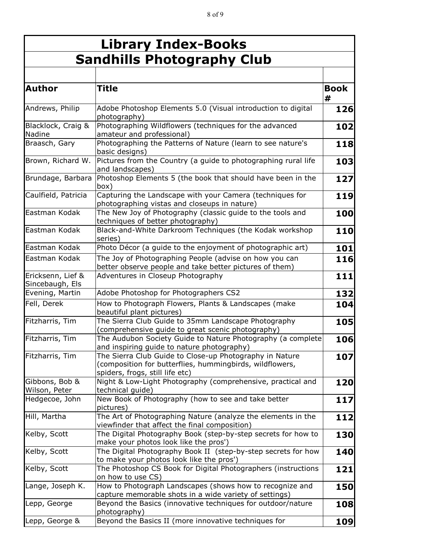| <b>Library Index-Books</b>           |                                                                                                                                                        |                  |  |  |
|--------------------------------------|--------------------------------------------------------------------------------------------------------------------------------------------------------|------------------|--|--|
|                                      | <b>Sandhills Photography Club</b>                                                                                                                      |                  |  |  |
| <b>Author</b>                        | Title                                                                                                                                                  | <b>Book</b><br># |  |  |
| Andrews, Philip                      | Adobe Photoshop Elements 5.0 (Visual introduction to digital<br>photography)                                                                           | 126              |  |  |
| Blacklock, Craig &<br>Nadine         | Photographing Wildflowers (techniques for the advanced<br>amateur and professional)                                                                    | 102              |  |  |
| Braasch, Gary                        | Photographing the Patterns of Nature (learn to see nature's<br>basic designs)                                                                          | 118              |  |  |
| Brown, Richard W.                    | Pictures from the Country (a guide to photographing rural life<br>and landscapes)                                                                      | 103              |  |  |
| Brundage, Barbara                    | Photoshop Elements 5 (the book that should have been in the<br>box)                                                                                    | 127              |  |  |
| Caulfield, Patricia                  | Capturing the Landscape with your Camera (techniques for<br>photographing vistas and closeups in nature)                                               | 119              |  |  |
| Eastman Kodak                        | The New Joy of Photography (classic guide to the tools and<br>techniques of better photography)                                                        | 100              |  |  |
| Eastman Kodak                        | Black-and-White Darkroom Techniques (the Kodak workshop<br>series)                                                                                     | 110              |  |  |
| Eastman Kodak                        | Photo Décor (a guide to the enjoyment of photographic art)                                                                                             | 101              |  |  |
| Eastman Kodak                        | The Joy of Photographing People (advise on how you can<br>better observe people and take better pictures of them)                                      | 116              |  |  |
| Ericksenn, Lief &<br>Sincebaugh, Els | Adventures in Closeup Photography                                                                                                                      | 111              |  |  |
| Evening, Martin                      | Adobe Photoshop for Photographers CS2                                                                                                                  | 132              |  |  |
| Fell, Derek                          | How to Photograph Flowers, Plants & Landscapes (make<br>beautiful plant pictures)                                                                      | 104              |  |  |
| Fitzharris, Tim                      | The Sierra Club Guide to 35mm Landscape Photography<br>(comprehensive guide to great scenic photography)                                               | 105              |  |  |
| Fitzharris, Tim                      | The Audubon Society Guide to Nature Photography (a complete<br>and inspiring guide to nature photography)                                              | 106              |  |  |
| Fitzharris, Tim                      | The Sierra Club Guide to Close-up Photography in Nature<br>(composition for butterflies, hummingbirds, wildflowers,<br>spiders, frogs, still life etc) | 107              |  |  |
| Gibbons, Bob &<br>Wilson, Peter      | Night & Low-Light Photography (comprehensive, practical and<br>technical guide)                                                                        | 120              |  |  |
| Hedgecoe, John                       | New Book of Photography (how to see and take better<br>pictures)                                                                                       | 117              |  |  |
| Hill, Martha                         | The Art of Photographing Nature (analyze the elements in the<br>viewfinder that affect the final composition)                                          | 112              |  |  |
| Kelby, Scott                         | The Digital Photography Book (step-by-step secrets for how to<br>make your photos look like the pros')                                                 | 130              |  |  |
| Kelby, Scott                         | The Digital Photography Book II (step-by-step secrets for how<br>to make your photos look like the pros')                                              | 140              |  |  |
| Kelby, Scott                         | The Photoshop CS Book for Digital Photographers (instructions<br>on how to use CS)                                                                     | 121              |  |  |
| Lange, Joseph K.                     | How to Photograph Landscapes (shows how to recognize and<br>capture memorable shots in a wide variety of settings)                                     | 150              |  |  |
| Lepp, George                         | Beyond the Basics (innovative techniques for outdoor/nature<br>photography)                                                                            | 108              |  |  |
| Lepp, George &                       | Beyond the Basics II (more innovative techniques for                                                                                                   | 109              |  |  |

outdoor/nature photography)

Vincent, Kathryn (\* 1922)